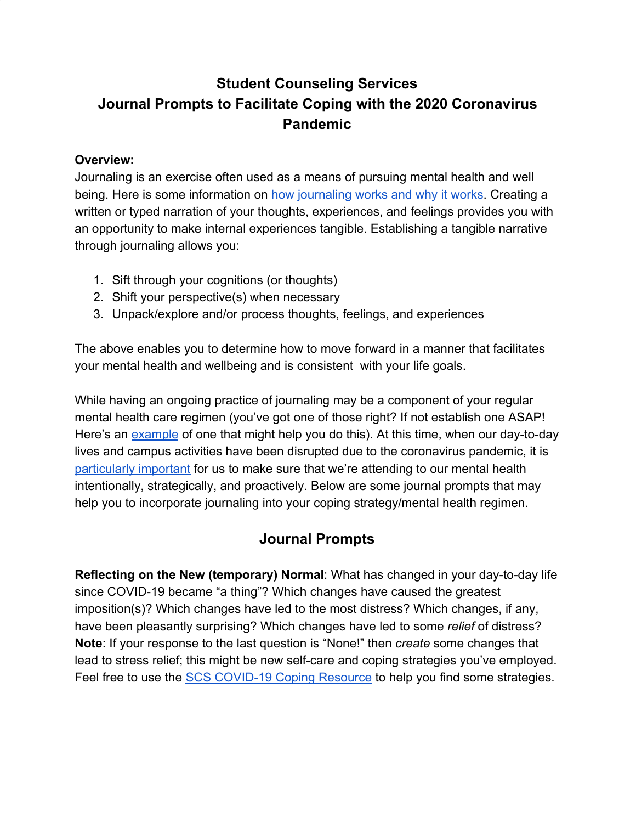## **Student Counseling Services Journal Prompts to Facilitate Coping with the 2020 Coronavirus Pandemic**

## **Overview:**

Journaling is an exercise often used as a means of pursuing mental health and well being. Here is some information on [how journaling works and why it works.](https://thedoctorweighsin.com/can-journaling-improve-your-mental-health/) Creating a written or typed narration of your thoughts, experiences, and feelings provides you with an opportunity to make internal experiences tangible. Establishing a tangible narrative through journaling allows you:

- 1. Sift through your cognitions (or thoughts)
- 2. Shift your perspective(s) when necessary
- 3. Unpack/explore and/or process thoughts, feelings, and experiences

The above enables you to determine how to move forward in a manner that facilitates your mental health and wellbeing and is consistent with your life goals.

While having an ongoing practice of journaling may be a component of your regular mental health care regimen (you've got one of those right? If not establish one ASAP! Here's an [example](https://www.psychologytoday.com/us/blog/living-forward/201703/the-mental-wellness-routine-will-change-your-life) of one that might help you do this). At this time, when our day-to-day lives and campus activities have been disrupted due to the coronavirus pandemic, it is [particularly important](https://mailchi.mp/afsp/2019-end-of-year-2268104?e=dad6ce242b) for us to make sure that we're attending to our mental health intentionally, strategically, and proactively. Below are some journal prompts that may help you to incorporate journaling into your coping strategy/mental health regimen.

## **Journal Prompts**

**Reflecting on the New (temporary) Normal**: What has changed in your day-to-day life since COVID-19 became "a thing"? Which changes have caused the greatest imposition(s)? Which changes have led to the most distress? Which changes, if any, have been pleasantly surprising? Which changes have led to some *relief* of distress? **Note**: If your response to the last question is "None!" then *create* some changes that lead to stress relief; this might be new self-care and coping strategies you've employed. Feel free to use the [SCS COVID-19 Coping Resource](https://www.conncoll.edu/campus-life/student-counseling-services/coping-with-covid-19-resources/) to help you find some strategies.